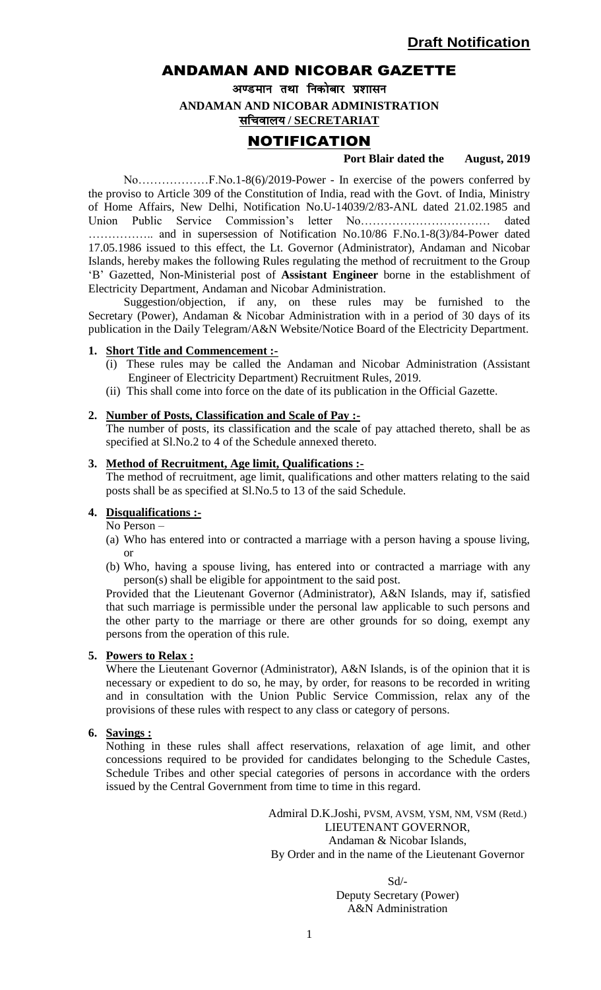## ANDAMAN AND NICOBAR GAZETTE

अण्डमान तथा निकोबार प्रशासन

**ANDAMAN AND NICOBAR ADMINISTRATION**

सचिवालय / **SECRETARIAT** 

# NOTIFICATION

**Port Blair dated the August, 2019**

No………………F.No.1-8(6)/2019-Power - In exercise of the powers conferred by the proviso to Article 309 of the Constitution of India, read with the Govt. of India, Ministry of Home Affairs, New Delhi, Notification No.U-14039/2/83-ANL dated 21.02.1985 and Union Public Service Commission's letter No…………………………… dated …………….. and in supersession of Notification No.10/86 F.No.1-8(3)/84-Power dated 17.05.1986 issued to this effect, the Lt. Governor (Administrator), Andaman and Nicobar Islands, hereby makes the following Rules regulating the method of recruitment to the Group 'B' Gazetted, Non-Ministerial post of **Assistant Engineer** borne in the establishment of Electricity Department, Andaman and Nicobar Administration.

Suggestion/objection, if any, on these rules may be furnished to the Secretary (Power), Andaman & Nicobar Administration with in a period of 30 days of its publication in the Daily Telegram/A&N Website/Notice Board of the Electricity Department.

#### **1. Short Title and Commencement :-**

- (i) These rules may be called the Andaman and Nicobar Administration (Assistant Engineer of Electricity Department) Recruitment Rules, 2019.
- (ii) This shall come into force on the date of its publication in the Official Gazette.

## **2. Number of Posts, Classification and Scale of Pay :-**

The number of posts, its classification and the scale of pay attached thereto, shall be as specified at Sl.No.2 to 4 of the Schedule annexed thereto.

#### **3. Method of Recruitment, Age limit, Qualifications :-**

The method of recruitment, age limit, qualifications and other matters relating to the said posts shall be as specified at Sl.No.5 to 13 of the said Schedule.

## **4. Disqualifications :-**

No Person –

- (a) Who has entered into or contracted a marriage with a person having a spouse living, or
- (b) Who, having a spouse living, has entered into or contracted a marriage with any person(s) shall be eligible for appointment to the said post.

Provided that the Lieutenant Governor (Administrator), A&N Islands, may if, satisfied that such marriage is permissible under the personal law applicable to such persons and the other party to the marriage or there are other grounds for so doing, exempt any persons from the operation of this rule.

#### **5. Powers to Relax :**

Where the Lieutenant Governor (Administrator), A&N Islands, is of the opinion that it is necessary or expedient to do so, he may, by order, for reasons to be recorded in writing and in consultation with the Union Public Service Commission, relax any of the provisions of these rules with respect to any class or category of persons.

### **6. Savings :**

Nothing in these rules shall affect reservations, relaxation of age limit, and other concessions required to be provided for candidates belonging to the Schedule Castes, Schedule Tribes and other special categories of persons in accordance with the orders issued by the Central Government from time to time in this regard.

> Admiral D.K.Joshi, PVSM, AVSM, YSM, NM, VSM (Retd.) LIEUTENANT GOVERNOR, Andaman & Nicobar Islands, By Order and in the name of the Lieutenant Governor

> > Sd/- Deputy Secretary (Power) A&N Administration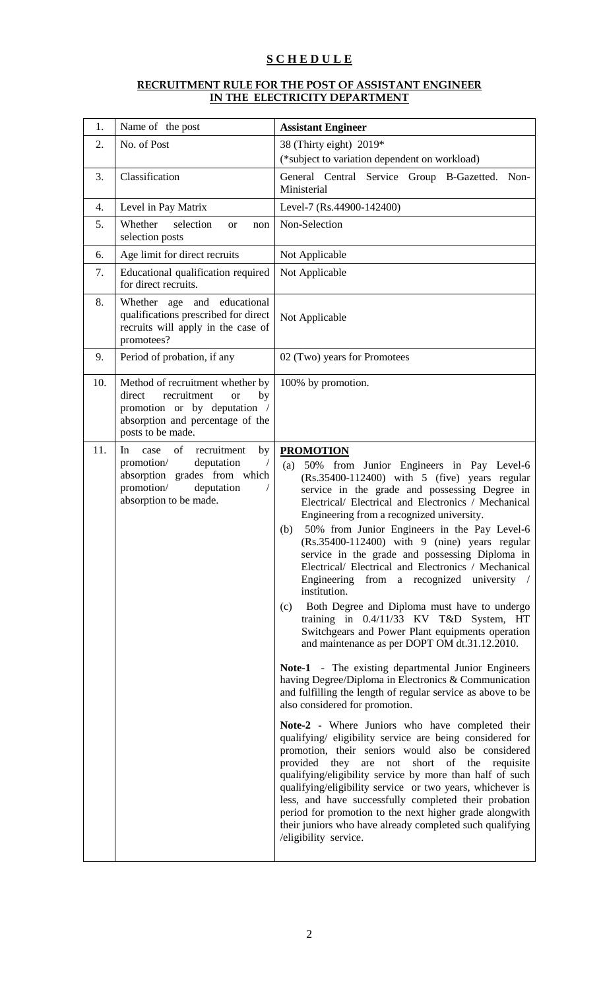# **S C H E D U L E**

#### **RECRUITMENT RULE FOR THE POST OF ASSISTANT ENGINEER IN THE ELECTRICITY DEPARTMENT**

| 1.  | Name of the post                                                                                                                                                      | <b>Assistant Engineer</b>                                                                                                                                                                                                                                                                                                                                                                                                                                                                                                                                                                                                                                                                                                                                                                                                                                                                                                                                                                                                                                                                                                                                                                                                                                                                                                                                                                                                                                                                                                                  |
|-----|-----------------------------------------------------------------------------------------------------------------------------------------------------------------------|--------------------------------------------------------------------------------------------------------------------------------------------------------------------------------------------------------------------------------------------------------------------------------------------------------------------------------------------------------------------------------------------------------------------------------------------------------------------------------------------------------------------------------------------------------------------------------------------------------------------------------------------------------------------------------------------------------------------------------------------------------------------------------------------------------------------------------------------------------------------------------------------------------------------------------------------------------------------------------------------------------------------------------------------------------------------------------------------------------------------------------------------------------------------------------------------------------------------------------------------------------------------------------------------------------------------------------------------------------------------------------------------------------------------------------------------------------------------------------------------------------------------------------------------|
| 2.  | No. of Post                                                                                                                                                           | 38 (Thirty eight) 2019*                                                                                                                                                                                                                                                                                                                                                                                                                                                                                                                                                                                                                                                                                                                                                                                                                                                                                                                                                                                                                                                                                                                                                                                                                                                                                                                                                                                                                                                                                                                    |
|     |                                                                                                                                                                       | (*subject to variation dependent on workload)                                                                                                                                                                                                                                                                                                                                                                                                                                                                                                                                                                                                                                                                                                                                                                                                                                                                                                                                                                                                                                                                                                                                                                                                                                                                                                                                                                                                                                                                                              |
| 3.  | Classification                                                                                                                                                        | General Central Service Group B-Gazetted.<br>Non-<br>Ministerial                                                                                                                                                                                                                                                                                                                                                                                                                                                                                                                                                                                                                                                                                                                                                                                                                                                                                                                                                                                                                                                                                                                                                                                                                                                                                                                                                                                                                                                                           |
| 4.  | Level in Pay Matrix                                                                                                                                                   | Level-7 (Rs.44900-142400)                                                                                                                                                                                                                                                                                                                                                                                                                                                                                                                                                                                                                                                                                                                                                                                                                                                                                                                                                                                                                                                                                                                                                                                                                                                                                                                                                                                                                                                                                                                  |
| 5.  | Whether<br>selection<br><b>or</b><br>non<br>selection posts                                                                                                           | Non-Selection                                                                                                                                                                                                                                                                                                                                                                                                                                                                                                                                                                                                                                                                                                                                                                                                                                                                                                                                                                                                                                                                                                                                                                                                                                                                                                                                                                                                                                                                                                                              |
| 6.  | Age limit for direct recruits                                                                                                                                         | Not Applicable                                                                                                                                                                                                                                                                                                                                                                                                                                                                                                                                                                                                                                                                                                                                                                                                                                                                                                                                                                                                                                                                                                                                                                                                                                                                                                                                                                                                                                                                                                                             |
| 7.  | Educational qualification required<br>for direct recruits.                                                                                                            | Not Applicable                                                                                                                                                                                                                                                                                                                                                                                                                                                                                                                                                                                                                                                                                                                                                                                                                                                                                                                                                                                                                                                                                                                                                                                                                                                                                                                                                                                                                                                                                                                             |
| 8.  | Whether age and educational<br>qualifications prescribed for direct<br>recruits will apply in the case of<br>promotees?                                               | Not Applicable                                                                                                                                                                                                                                                                                                                                                                                                                                                                                                                                                                                                                                                                                                                                                                                                                                                                                                                                                                                                                                                                                                                                                                                                                                                                                                                                                                                                                                                                                                                             |
| 9.  | Period of probation, if any                                                                                                                                           | 02 (Two) years for Promotees                                                                                                                                                                                                                                                                                                                                                                                                                                                                                                                                                                                                                                                                                                                                                                                                                                                                                                                                                                                                                                                                                                                                                                                                                                                                                                                                                                                                                                                                                                               |
| 10. | Method of recruitment whether by<br>recruitment<br>direct<br>by<br><b>or</b><br>promotion or by deputation /<br>absorption and percentage of the<br>posts to be made. | 100% by promotion.                                                                                                                                                                                                                                                                                                                                                                                                                                                                                                                                                                                                                                                                                                                                                                                                                                                                                                                                                                                                                                                                                                                                                                                                                                                                                                                                                                                                                                                                                                                         |
| 11. | In<br>of<br>recruitment<br>case<br>by<br>promotion/<br>deputation<br>absorption grades from which<br>promotion/<br>deputation<br>absorption to be made.               | <b>PROMOTION</b><br>50% from Junior Engineers in Pay Level-6<br>(a)<br>$(Rs.35400-112400)$ with 5 (five) years regular<br>service in the grade and possessing Degree in<br>Electrical/ Electrical and Electronics / Mechanical<br>Engineering from a recognized university.<br>50% from Junior Engineers in the Pay Level-6<br>(b)<br>(Rs.35400-112400) with 9 (nine) years regular<br>service in the grade and possessing Diploma in<br>Electrical/ Electrical and Electronics / Mechanical<br>Engineering from a recognized university /<br>institution.<br>Both Degree and Diploma must have to undergo<br>(c)<br>training in 0.4/11/33 KV T&D System, HT<br>Switchgears and Power Plant equipments operation<br>and maintenance as per DOPT OM dt.31.12.2010.<br>Note-1 - The existing departmental Junior Engineers<br>having Degree/Diploma in Electronics & Communication<br>and fulfilling the length of regular service as above to be<br>also considered for promotion.<br>Note-2 - Where Juniors who have completed their<br>qualifying/ eligibility service are being considered for<br>promotion, their seniors would also be considered<br>provided they<br>are not short of the requisite<br>qualifying/eligibility service by more than half of such<br>qualifying/eligibility service or two years, whichever is<br>less, and have successfully completed their probation<br>period for promotion to the next higher grade alongwith<br>their juniors who have already completed such qualifying<br>/eligibility service. |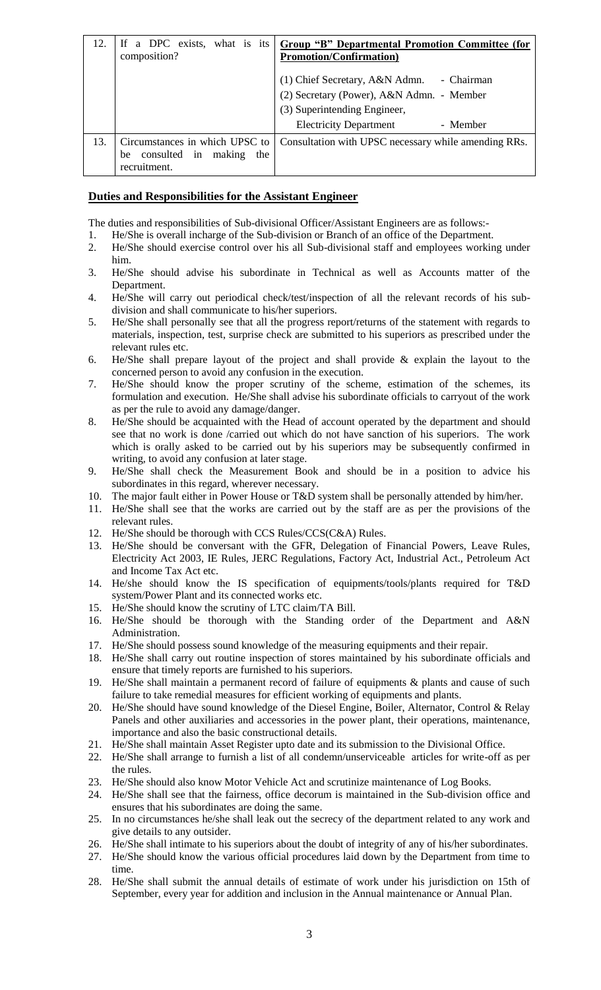| 12. | If a DPC exists, what is its<br>composition?                                          | <b>Group "B" Departmental Promotion Committee (for</b><br><b>Promotion/Confirmation)</b>                                                                               |
|-----|---------------------------------------------------------------------------------------|------------------------------------------------------------------------------------------------------------------------------------------------------------------------|
|     |                                                                                       | (1) Chief Secretary, A&N Admn.<br>- Chairman<br>(2) Secretary (Power), A&N Admn. - Member<br>(3) Superintending Engineer,<br><b>Electricity Department</b><br>- Member |
| 13. | Circumstances in which UPSC to<br>consulted in<br>making<br>the<br>be<br>recruitment. | Consultation with UPSC necessary while amending RRs.                                                                                                                   |

#### **Duties and Responsibilities for the Assistant Engineer**

The duties and responsibilities of Sub-divisional Officer/Assistant Engineers are as follows:-

- 1. He/She is overall incharge of the Sub-division or Branch of an office of the Department.
- 2. He/She should exercise control over his all Sub-divisional staff and employees working under him.
- 3. He/She should advise his subordinate in Technical as well as Accounts matter of the Department.
- 4. He/She will carry out periodical check/test/inspection of all the relevant records of his subdivision and shall communicate to his/her superiors.
- 5. He/She shall personally see that all the progress report/returns of the statement with regards to materials, inspection, test, surprise check are submitted to his superiors as prescribed under the relevant rules etc.
- 6. He/She shall prepare layout of the project and shall provide & explain the layout to the concerned person to avoid any confusion in the execution.
- 7. He/She should know the proper scrutiny of the scheme, estimation of the schemes, its formulation and execution. He/She shall advise his subordinate officials to carryout of the work as per the rule to avoid any damage/danger.
- 8. He/She should be acquainted with the Head of account operated by the department and should see that no work is done /carried out which do not have sanction of his superiors. The work which is orally asked to be carried out by his superiors may be subsequently confirmed in writing, to avoid any confusion at later stage.
- 9. He/She shall check the Measurement Book and should be in a position to advice his subordinates in this regard, wherever necessary.
- 10. The major fault either in Power House or T&D system shall be personally attended by him/her.
- 11. He/She shall see that the works are carried out by the staff are as per the provisions of the relevant rules.
- 12. He/She should be thorough with CCS Rules/CCS(C&A) Rules.
- 13. He/She should be conversant with the GFR, Delegation of Financial Powers, Leave Rules, Electricity Act 2003, IE Rules, JERC Regulations, Factory Act, Industrial Act., Petroleum Act and Income Tax Act etc.
- 14. He/she should know the IS specification of equipments/tools/plants required for T&D system/Power Plant and its connected works etc.
- 15. He/She should know the scrutiny of LTC claim/TA Bill.
- 16. He/She should be thorough with the Standing order of the Department and A&N Administration.
- 17. He/She should possess sound knowledge of the measuring equipments and their repair.
- 18. He/She shall carry out routine inspection of stores maintained by his subordinate officials and ensure that timely reports are furnished to his superiors.
- 19. He/She shall maintain a permanent record of failure of equipments & plants and cause of such failure to take remedial measures for efficient working of equipments and plants.
- 20. He/She should have sound knowledge of the Diesel Engine, Boiler, Alternator, Control & Relay Panels and other auxiliaries and accessories in the power plant, their operations, maintenance, importance and also the basic constructional details.
- 21. He/She shall maintain Asset Register upto date and its submission to the Divisional Office.
- 22. He/She shall arrange to furnish a list of all condemn/unserviceable articles for write-off as per the rules.
- 23. He/She should also know Motor Vehicle Act and scrutinize maintenance of Log Books.
- 24. He/She shall see that the fairness, office decorum is maintained in the Sub-division office and ensures that his subordinates are doing the same.
- 25. In no circumstances he/she shall leak out the secrecy of the department related to any work and give details to any outsider.
- 26. He/She shall intimate to his superiors about the doubt of integrity of any of his/her subordinates.
- 27. He/She should know the various official procedures laid down by the Department from time to time.
- 28. He/She shall submit the annual details of estimate of work under his jurisdiction on 15th of September, every year for addition and inclusion in the Annual maintenance or Annual Plan.